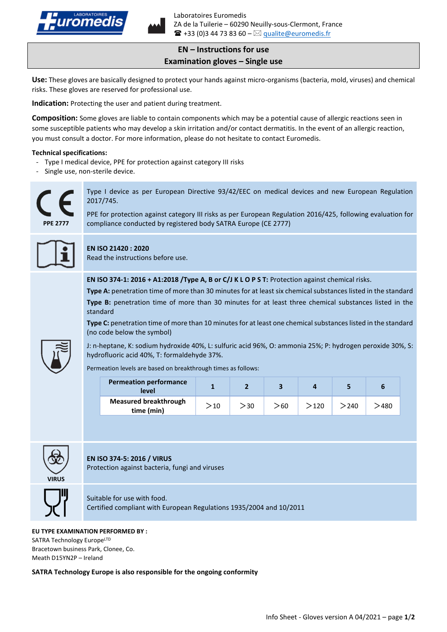

# **EN – Instructions for use Examination gloves – Single use**

**Use:** These gloves are basically designed to protect your hands against micro-organisms (bacteria, mold, viruses) and chemical risks. These gloves are reserved for professional use.

**Indication:** Protecting the user and patient during treatment.

**Composition:** Some gloves are liable to contain components which may be a potential cause of allergic reactions seen in some susceptible patients who may develop a skin irritation and/or contact dermatitis. In the event of an allergic reaction, you must consult a doctor. For more information, please do not hesitate to contact Euromedis.

#### **Technical specifications:**

- Type I medical device, PPE for protection against category III risks
- Single use, non-sterile device.



Type I device as per European Directive 93/42/EEC on medical devices and new European Regulation 2017/745.

PPE for protection against category III risks as per European Regulation 2016/425, following evaluation for compliance conducted by registered body SATRA Europe (CE 2777)



## **EN ISO 21420 : 2020**

Read the instructions before use.

**EN ISO 374-1: 2016 + A1:2018 /Type A, B or C/J K L O P S T:** Protection against chemical risks.

**Type A:** penetration time of more than 30 minutes for at least six chemical substances listed in the standard **Type B:** penetration time of more than 30 minutes for at least three chemical substances listed in the standard

**Type C:** penetration time of more than 10 minutes for at least one chemical substances listed in the standard (no code below the symbol)



J: n-heptane, K: sodium hydroxide 40%, L: sulfuric acid 96%, O: ammonia 25%; P: hydrogen peroxide 30%, S: hydrofluoric acid 40%, T: formaldehyde 37%.

Permeation levels are based on breakthrough times as follows:

| <b>Permeation performance</b><br>level     |     |     |     |      |      | ь    |
|--------------------------------------------|-----|-----|-----|------|------|------|
| <b>Measured breakthrough</b><br>time (min) | >10 | >30 | >60 | >120 | >240 | 480' |



## **EN ISO 374-5: 2016 / VIRUS**

Protection against bacteria, fungi and viruses



Suitable for use with food. Certified compliant with European Regulations 1935/2004 and 10/2011

#### **EU TYPE EXAMINATION PERFORMED BY :**

SATRA Technology EuropeLTD Bracetown business Park, Clonee, Co. Meath D15YN2P – Ireland

**SATRA Technology Europe is also responsible for the ongoing conformity**